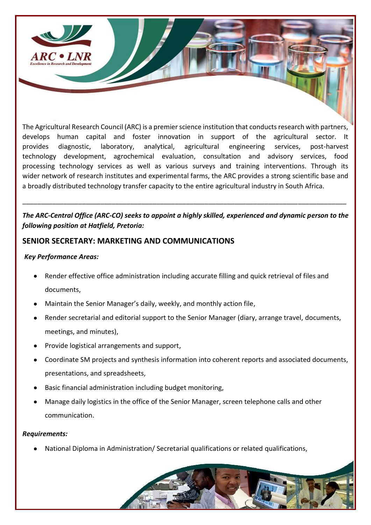

The Agricultural Research Council (ARC) is a premier science institution that conducts research with partners, develops human capital and foster innovation in support of the agricultural sector. It provides diagnostic, laboratory, analytical, agricultural engineering services, post-harvest technology development, agrochemical evaluation, consultation and advisory services, food processing technology services as well as various surveys and training interventions. Through its wider network of research institutes and experimental farms, the ARC provides a strong scientific base and a broadly distributed technology transfer capacity to the entire agricultural industry in South Africa.

## *The ARC-Central Office (ARC-CO) seeks to appoint a highly skilled, experienced and dynamic person to the following position at Hatfield, Pretoria:*

\_\_\_\_\_\_\_\_\_\_\_\_\_\_\_\_\_\_\_\_\_\_\_\_\_\_\_\_\_\_\_\_\_\_\_\_\_\_\_\_\_\_\_\_\_\_\_\_\_\_\_\_\_\_\_\_\_\_\_\_\_\_\_\_\_\_\_\_\_\_\_\_\_\_\_\_\_\_\_\_\_\_\_\_\_\_\_

## **SENIOR SECRETARY: MARKETING AND COMMUNICATIONS**

### *Key Performance Areas:*

- Render effective office administration including accurate filling and quick retrieval of files and documents,
- Maintain the Senior Manager's daily, weekly, and monthly action file,
- Render secretarial and editorial support to the Senior Manager (diary, arrange travel, documents, meetings, and minutes),
- Provide logistical arrangements and support,
- Coordinate SM projects and synthesis information into coherent reports and associated documents, presentations, and spreadsheets,
- Basic financial administration including budget monitoring,
- Manage daily logistics in the office of the Senior Manager, screen telephone calls and other communication.

#### *Requirements:*

• National Diploma in Administration/ Secretarial qualifications or related qualifications,